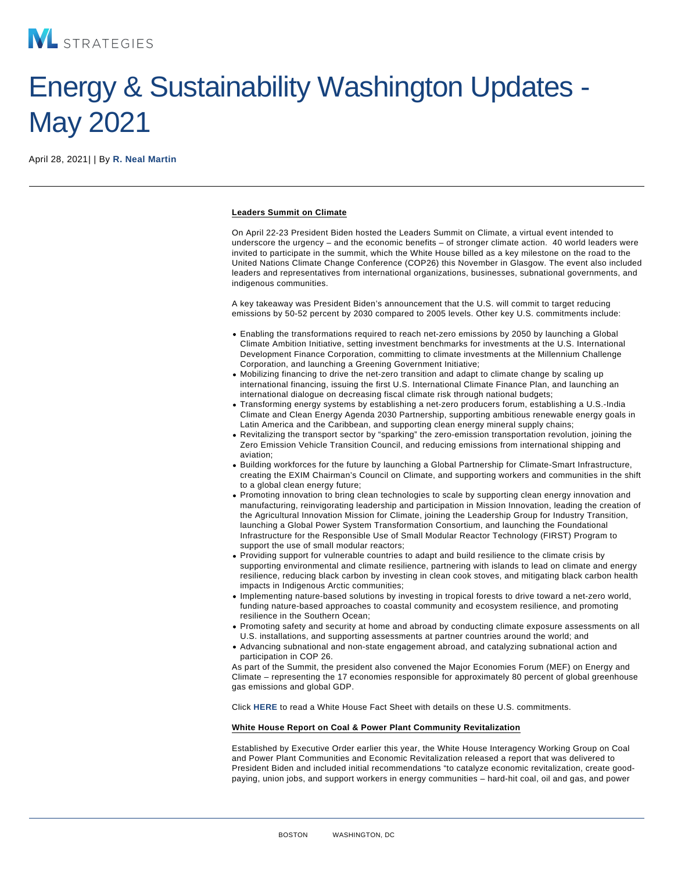## Energy & Sustainability Washington Updates - May 2021

April 28, 2021| | By [R. Neal Martin](/our-people/r-neal-martin)

Leaders Summit on Climate

On April 22-23 President Biden hosted the Leaders Summit on Climate, a virtual event intended to underscore the urgency – and the economic benefits – of stronger climate action. 40 world leaders were invited to participate in the summit, which the White House billed as a key milestone on the road to the United Nations Climate Change Conference (COP26) this November in Glasgow. The event also included leaders and representatives from international organizations, businesses, subnational governments, and indigenous communities.

A key takeaway was President Biden's announcement that the U.S. will commit to target reducing emissions by 50-52 percent by 2030 compared to 2005 levels. Other key U.S. commitments include:

- Enabling the transformations required to reach net-zero emissions by 2050 by launching a Global Climate Ambition Initiative, setting investment benchmarks for investments at the U.S. International Development Finance Corporation, committing to climate investments at the Millennium Challenge Corporation, and launching a Greening Government Initiative;
- Mobilizing financing to drive the net-zero transition and adapt to climate change by scaling up international financing, issuing the first U.S. International Climate Finance Plan, and launching an international dialogue on decreasing fiscal climate risk through national budgets;
- Transforming energy systems by establishing a net-zero producers forum, establishing a U.S.-India Climate and Clean Energy Agenda 2030 Partnership, supporting ambitious renewable energy goals in Latin America and the Caribbean, and supporting clean energy mineral supply chains;
- Revitalizing the transport sector by "sparking" the zero-emission transportation revolution, joining the Zero Emission Vehicle Transition Council, and reducing emissions from international shipping and aviation;
- Building workforces for the future by launching a Global Partnership for Climate-Smart Infrastructure, creating the EXIM Chairman's Council on Climate, and supporting workers and communities in the shift to a global clean energy future;
- Promoting innovation to bring clean technologies to scale by supporting clean energy innovation and manufacturing, reinvigorating leadership and participation in Mission Innovation, leading the creation of the Agricultural Innovation Mission for Climate, joining the Leadership Group for Industry Transition, launching a Global Power System Transformation Consortium, and launching the Foundational Infrastructure for the Responsible Use of Small Modular Reactor Technology (FIRST) Program to support the use of small modular reactors;
- Providing support for vulnerable countries to adapt and build resilience to the climate crisis by supporting environmental and climate resilience, partnering with islands to lead on climate and energy resilience, reducing black carbon by investing in clean cook stoves, and mitigating black carbon health impacts in Indigenous Arctic communities;
- Implementing nature-based solutions by investing in tropical forests to drive toward a net-zero world, funding nature-based approaches to coastal community and ecosystem resilience, and promoting resilience in the Southern Ocean;
- Promoting safety and security at home and abroad by conducting climate exposure assessments on all U.S. installations, and supporting assessments at partner countries around the world; and
- Advancing subnational and non-state engagement abroad, and catalyzing subnational action and participation in COP 26.

As part of the Summit, the president also convened the Major Economies Forum (MEF) on Energy and Climate – representing the 17 economies responsible for approximately 80 percent of global greenhouse gas emissions and global GDP.

Click [HERE](https://www.whitehouse.gov/briefing-room/statements-releases/2021/04/23/fact-sheet-president-bidens-leaders-summit-on-climate/) to read a White House Fact Sheet with details on these U.S. commitments.

White House Report on Coal & Power Plant Community Revitalization

Established by Executive Order earlier this year, the White House Interagency Working Group on Coal and Power Plant Communities and Economic Revitalization released a report that was delivered to President Biden and included initial recommendations "to catalyze economic revitalization, create goodpaying, union jobs, and support workers in energy communities – hard-hit coal, oil and gas, and power